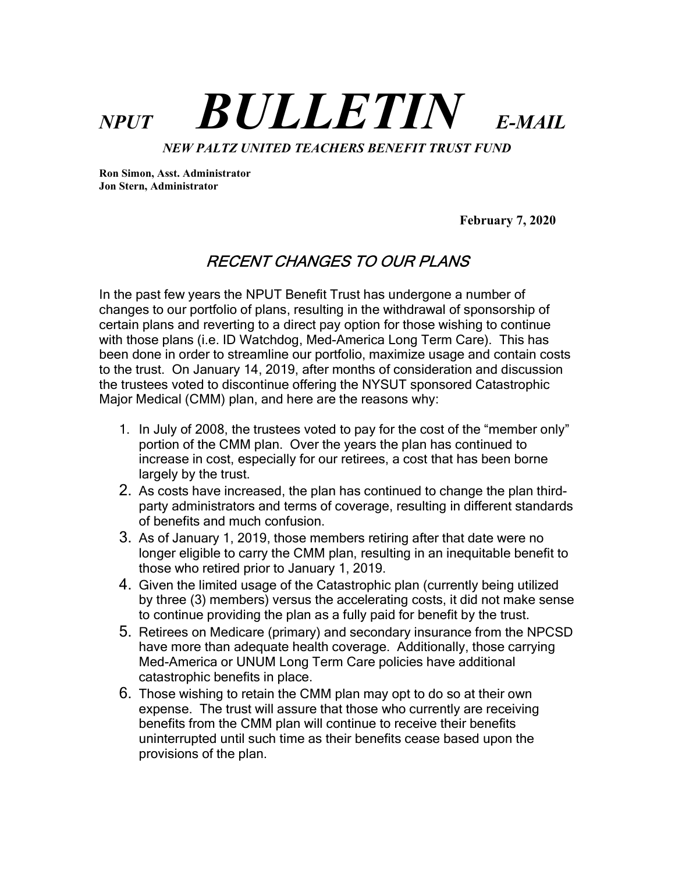# $NPUT$  **BULLETIN** E-MAIL NEW PALTZ UNITED TEACHERS BENEFIT TRUST FUND

Ron Simon, Asst. Administrator Jon Stern, Administrator

February 7, 2020

# RECENT CHANGES TO OUR PLANS

In the past few years the NPUT Benefit Trust has undergone a number of changes to our portfolio of plans, resulting in the withdrawal of sponsorship of certain plans and reverting to a direct pay option for those wishing to continue with those plans (i.e. ID Watchdog, Med-America Long Term Care). This has been done in order to streamline our portfolio, maximize usage and contain costs to the trust. On January 14, 2019, after months of consideration and discussion the trustees voted to discontinue offering the NYSUT sponsored Catastrophic Major Medical (CMM) plan, and here are the reasons why:

- 1. In July of 2008, the trustees voted to pay for the cost of the "member only" portion of the CMM plan. Over the years the plan has continued to increase in cost, especially for our retirees, a cost that has been borne largely by the trust.
- 2. As costs have increased, the plan has continued to change the plan thirdparty administrators and terms of coverage, resulting in different standards of benefits and much confusion.
- 3. As of January 1, 2019, those members retiring after that date were no longer eligible to carry the CMM plan, resulting in an inequitable benefit to those who retired prior to January 1, 2019.
- 4. Given the limited usage of the Catastrophic plan (currently being utilized by three (3) members) versus the accelerating costs, it did not make sense to continue providing the plan as a fully paid for benefit by the trust.
- 5. Retirees on Medicare (primary) and secondary insurance from the NPCSD have more than adequate health coverage. Additionally, those carrying Med-America or UNUM Long Term Care policies have additional catastrophic benefits in place.
- 6. Those wishing to retain the CMM plan may opt to do so at their own expense. The trust will assure that those who currently are receiving benefits from the CMM plan will continue to receive their benefits uninterrupted until such time as their benefits cease based upon the provisions of the plan.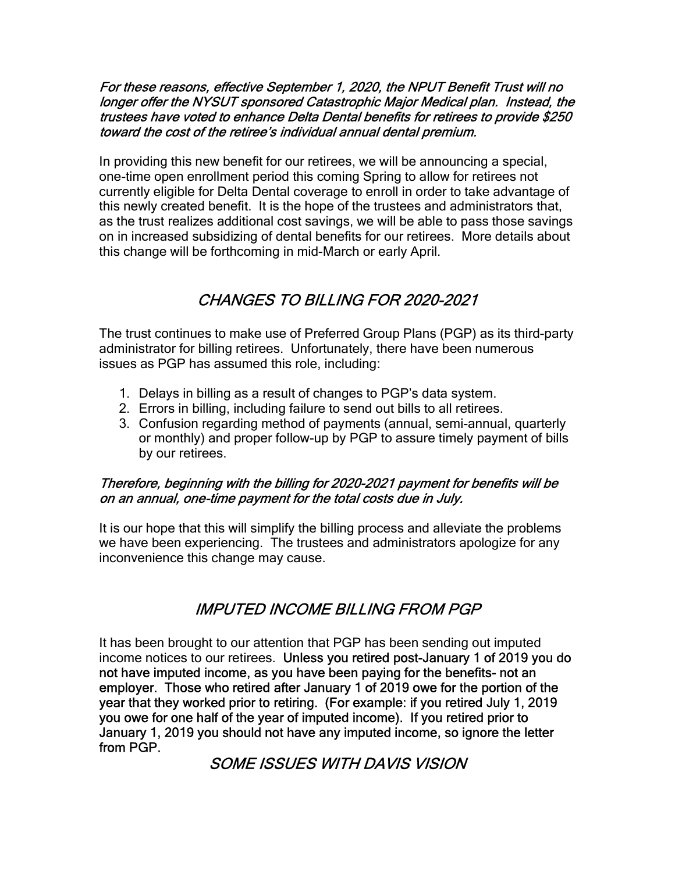#### For these reasons, effective September 1, 2020, the NPUT Benefit Trust will no longer offer the NYSUT sponsored Catastrophic Major Medical plan. Instead, the trustees have voted to enhance Delta Dental benefits for retirees to provide \$250 toward the cost of the retiree's individual annual dental premium.

In providing this new benefit for our retirees, we will be announcing a special, one-time open enrollment period this coming Spring to allow for retirees not currently eligible for Delta Dental coverage to enroll in order to take advantage of this newly created benefit. It is the hope of the trustees and administrators that, as the trust realizes additional cost savings, we will be able to pass those savings on in increased subsidizing of dental benefits for our retirees. More details about this change will be forthcoming in mid-March or early April.

# CHANGES TO BILLING FOR 2020-2021

The trust continues to make use of Preferred Group Plans (PGP) as its third-party administrator for billing retirees. Unfortunately, there have been numerous issues as PGP has assumed this role, including:

- 1. Delays in billing as a result of changes to PGP's data system.
- 2. Errors in billing, including failure to send out bills to all retirees.
- 3. Confusion regarding method of payments (annual, semi-annual, quarterly or monthly) and proper follow-up by PGP to assure timely payment of bills by our retirees.

#### Therefore, beginning with the billing for 2020-2021 payment for benefits will be on an annual, one-time payment for the total costs due in July.

It is our hope that this will simplify the billing process and alleviate the problems we have been experiencing. The trustees and administrators apologize for any inconvenience this change may cause.

# IMPUTED INCOME BILLING FROM PGP

It has been brought to our attention that PGP has been sending out imputed income notices to our retirees. Unless you retired post-January 1 of 2019 you do not have imputed income, as you have been paying for the benefits- not an employer. Those who retired after January 1 of 2019 owe for the portion of the year that they worked prior to retiring. (For example: if you retired July 1, 2019 you owe for one half of the year of imputed income). If you retired prior to January 1, 2019 you should not have any imputed income, so ignore the letter from PGP.

## SOME ISSUES WITH DAVIS VISION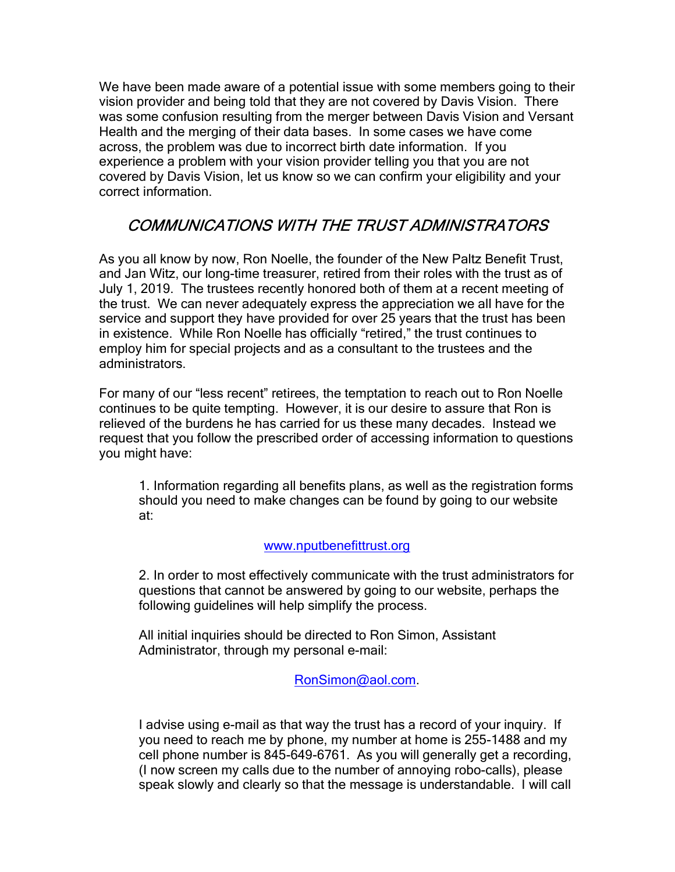We have been made aware of a potential issue with some members going to their vision provider and being told that they are not covered by Davis Vision. There was some confusion resulting from the merger between Davis Vision and Versant Health and the merging of their data bases. In some cases we have come across, the problem was due to incorrect birth date information. If you experience a problem with your vision provider telling you that you are not covered by Davis Vision, let us know so we can confirm your eligibility and your correct information.

# COMMUNICATIONS WITH THE TRUST ADMINISTRATORS

As you all know by now, Ron Noelle, the founder of the New Paltz Benefit Trust, and Jan Witz, our long-time treasurer, retired from their roles with the trust as of July 1, 2019. The trustees recently honored both of them at a recent meeting of the trust. We can never adequately express the appreciation we all have for the service and support they have provided for over 25 years that the trust has been in existence. While Ron Noelle has officially "retired," the trust continues to employ him for special projects and as a consultant to the trustees and the administrators.

For many of our "less recent" retirees, the temptation to reach out to Ron Noelle continues to be quite tempting. However, it is our desire to assure that Ron is relieved of the burdens he has carried for us these many decades. Instead we request that you follow the prescribed order of accessing information to questions you might have:

1. Information regarding all benefits plans, as well as the registration forms should you need to make changes can be found by going to our website at:

#### www.nputbenefittrust.org

2. In order to most effectively communicate with the trust administrators for questions that cannot be answered by going to our website, perhaps the following guidelines will help simplify the process.

All initial inquiries should be directed to Ron Simon, Assistant Administrator, through my personal e-mail:

RonSimon@aol.com.

I advise using e-mail as that way the trust has a record of your inquiry. If you need to reach me by phone, my number at home is 255-1488 and my cell phone number is 845-649-6761. As you will generally get a recording, (I now screen my calls due to the number of annoying robo-calls), please speak slowly and clearly so that the message is understandable. I will call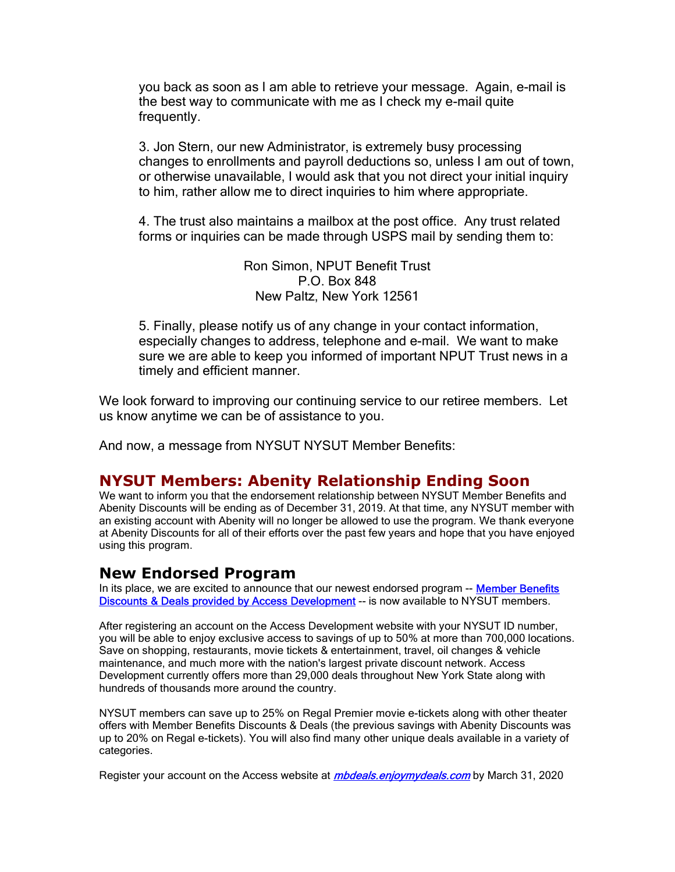you back as soon as I am able to retrieve your message. Again, e-mail is the best way to communicate with me as I check my e-mail quite frequently.

3. Jon Stern, our new Administrator, is extremely busy processing changes to enrollments and payroll deductions so, unless I am out of town, or otherwise unavailable, I would ask that you not direct your initial inquiry to him, rather allow me to direct inquiries to him where appropriate.

4. The trust also maintains a mailbox at the post office. Any trust related forms or inquiries can be made through USPS mail by sending them to:

> Ron Simon, NPUT Benefit Trust P.O. Box 848 New Paltz, New York 12561

5. Finally, please notify us of any change in your contact information, especially changes to address, telephone and e-mail. We want to make sure we are able to keep you informed of important NPUT Trust news in a timely and efficient manner.

We look forward to improving our continuing service to our retiree members. Let us know anytime we can be of assistance to you.

And now, a message from NYSUT NYSUT Member Benefits:

## NYSUT Members: Abenity Relationship Ending Soon

We want to inform you that the endorsement relationship between NYSUT Member Benefits and Abenity Discounts will be ending as of December 31, 2019. At that time, any NYSUT member with an existing account with Abenity will no longer be allowed to use the program. We thank everyone at Abenity Discounts for all of their efforts over the past few years and hope that you have enjoyed using this program.

## New Endorsed Program

In its place, we are excited to announce that our newest endorsed program -- Member Benefits Discounts & Deals provided by Access Development -- is now available to NYSUT members.

After registering an account on the Access Development website with your NYSUT ID number, you will be able to enjoy exclusive access to savings of up to 50% at more than 700,000 locations. Save on shopping, restaurants, movie tickets & entertainment, travel, oil changes & vehicle maintenance, and much more with the nation's largest private discount network. Access Development currently offers more than 29,000 deals throughout New York State along with hundreds of thousands more around the country.

NYSUT members can save up to 25% on Regal Premier movie e-tickets along with other theater offers with Member Benefits Discounts & Deals (the previous savings with Abenity Discounts was up to 20% on Regal e-tickets). You will also find many other unique deals available in a variety of categories.

Register your account on the Access website at *mbdeals.enjoymydeals.com* by March 31, 2020